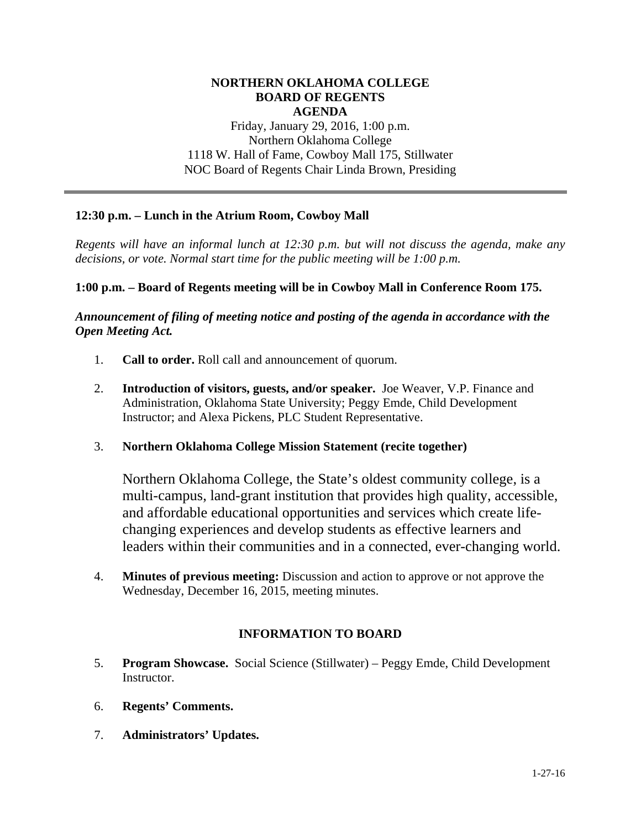### **NORTHERN OKLAHOMA COLLEGE BOARD OF REGENTS AGENDA**  Friday, January 29, 2016, 1:00 p.m.

Northern Oklahoma College 1118 W. Hall of Fame, Cowboy Mall 175, Stillwater NOC Board of Regents Chair Linda Brown, Presiding

# **12:30 p.m. – Lunch in the Atrium Room, Cowboy Mall**

*Regents will have an informal lunch at 12:30 p.m. but will not discuss the agenda, make any decisions, or vote. Normal start time for the public meeting will be 1:00 p.m.* 

## **1:00 p.m. – Board of Regents meeting will be in Cowboy Mall in Conference Room 175.**

*Announcement of filing of meeting notice and posting of the agenda in accordance with the Open Meeting Act.* 

- 1. **Call to order.** Roll call and announcement of quorum.
- 2. **Introduction of visitors, guests, and/or speaker.** Joe Weaver, V.P. Finance and Administration, Oklahoma State University; Peggy Emde, Child Development Instructor; and Alexa Pickens, PLC Student Representative.
- 3. **Northern Oklahoma College Mission Statement (recite together)**

Northern Oklahoma College, the State's oldest community college, is a multi-campus, land-grant institution that provides high quality, accessible, and affordable educational opportunities and services which create lifechanging experiences and develop students as effective learners and leaders within their communities and in a connected, ever-changing world.

4. **Minutes of previous meeting:** Discussion and action to approve or not approve the Wednesday, December 16, 2015, meeting minutes.

## **INFORMATION TO BOARD**

- 5. **Program Showcase.** Social Science (Stillwater) Peggy Emde, Child Development Instructor.
- 6. **Regents' Comments.**
- 7. **Administrators' Updates.**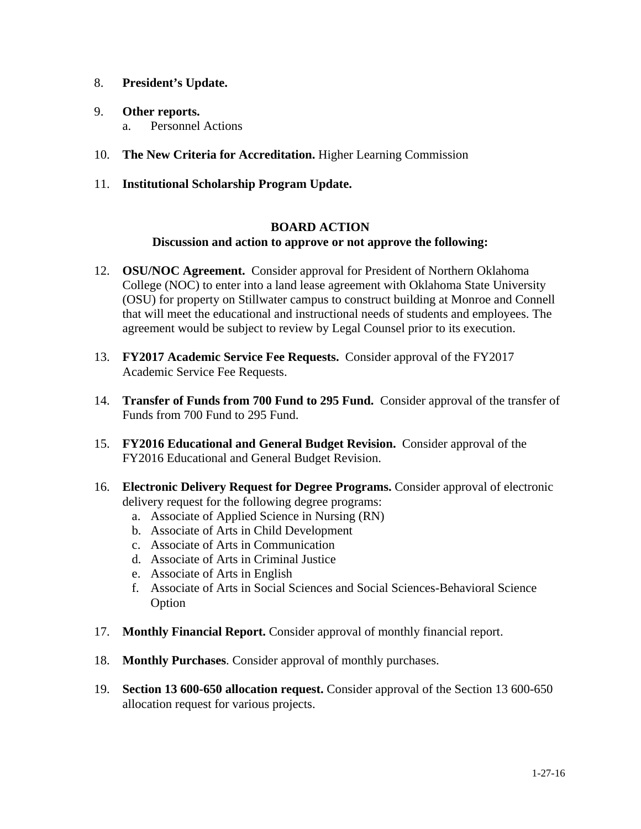- 8. **President's Update.**
- 9. **Other reports.**  a. Personnel Actions
- 10. **The New Criteria for Accreditation.** Higher Learning Commission
- 11. **Institutional Scholarship Program Update.**

## **BOARD ACTION Discussion and action to approve or not approve the following:**

- 12. **OSU/NOC Agreement.** Consider approval for President of Northern Oklahoma College (NOC) to enter into a land lease agreement with Oklahoma State University (OSU) for property on Stillwater campus to construct building at Monroe and Connell that will meet the educational and instructional needs of students and employees. The agreement would be subject to review by Legal Counsel prior to its execution.
- 13. **FY2017 Academic Service Fee Requests.** Consider approval of the FY2017 Academic Service Fee Requests.
- 14. **Transfer of Funds from 700 Fund to 295 Fund.** Consider approval of the transfer of Funds from 700 Fund to 295 Fund.
- 15. **FY2016 Educational and General Budget Revision.** Consider approval of the FY2016 Educational and General Budget Revision.
- 16. **Electronic Delivery Request for Degree Programs.** Consider approval of electronic delivery request for the following degree programs:
	- a. Associate of Applied Science in Nursing (RN)
	- b. Associate of Arts in Child Development
	- c. Associate of Arts in Communication
	- d. Associate of Arts in Criminal Justice
	- e. Associate of Arts in English
	- f. Associate of Arts in Social Sciences and Social Sciences-Behavioral Science Option
- 17. **Monthly Financial Report.** Consider approval of monthly financial report.
- 18. **Monthly Purchases**. Consider approval of monthly purchases.
- 19. **Section 13 600-650 allocation request.** Consider approval of the Section 13 600-650 allocation request for various projects.